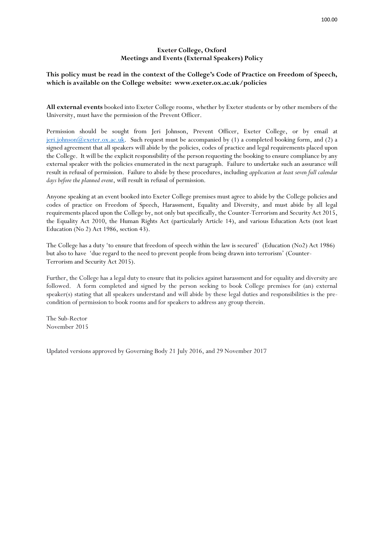## **Exeter College, Oxford Meetings and Events (External Speakers) Policy**

## **This policy must be read in the context of the College's Code of Practice on Freedom of Speech, which is available on the College website: www.exeter.ox.ac.uk/policies**

**All external events** booked into Exeter College rooms, whether by Exeter students or by other members of the University, must have the permission of the Prevent Officer.

Permission should be sought from Jeri Johnson, Prevent Officer, Exeter College, or by email at [jeri.johnson@exeter.ox.ac.uk.](mailto:jeri.johnson@exeter.ox.ac.uk) Such request must be accompanied by (1) a completed booking form, and (2) a signed agreement that all speakers will abide by the policies, codes of practice and legal requirements placed upon the College. It will be the explicit responsibility of the person requesting the booking to ensure compliance by any external speaker with the policies enumerated in the next paragraph. Failure to undertake such an assurance will result in refusal of permission. Failure to abide by these procedures, including *application at least seven full calendar days before the planned event*, will result in refusal of permission.

Anyone speaking at an event booked into Exeter College premises must agree to abide by the College policies and codes of practice on Freedom of Speech, Harassment, Equality and Diversity, and must abide by all legal requirements placed upon the College by, not only but specifically, the Counter-Terrorism and Security Act 2015, the Equality Act 2010, the Human Rights Act (particularly Article 14), and various Education Acts (not least Education (No 2) Act 1986, section 43).

The College has a duty 'to ensure that freedom of speech within the law is secured' (Education (No2) Act 1986) but also to have 'due regard to the need to prevent people from being drawn into terrorism' (Counter-Terrorism and Security Act 2015).

Further, the College has a legal duty to ensure that its policies against harassment and for equality and diversity are followed. A form completed and signed by the person seeking to book College premises for (an) external speaker(s) stating that all speakers understand and will abide by these legal duties and responsibilities is the precondition of permission to book rooms and for speakers to address any group therein.

The Sub-Rector November 2015

Updated versions approved by Governing Body 21 July 2016, and 29 November 2017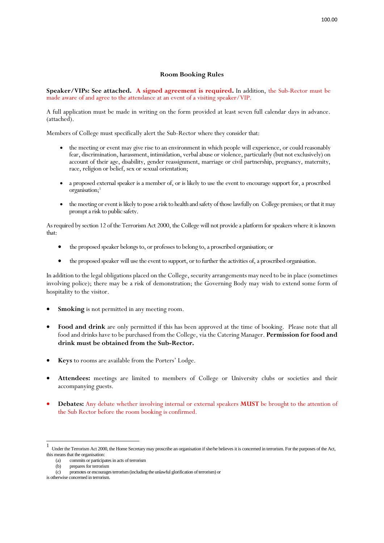## **Room Booking Rules**

**Speaker/VIPs: See attached. A signed agreement is required.** In addition, the Sub-Rector must be made aware of and agree to the attendance at an event of a visiting speaker/VIP.

A full application must be made in writing on the form provided at least seven full calendar days in advance. (attached).

Members of College must specifically alert the Sub-Rector where they consider that:

- the meeting or event may give rise to an environment in which people will experience, or could reasonably fear, discrimination, harassment, intimidation, verbal abuse or violence, particularly (but not exclusively) on account of their age, disability, gender reassignment, marriage or civil partnership, pregnancy, maternity, race, religion or belief, sex or sexual orientation;
- a proposed external speaker is a member of, or is likely to use the event to encourage support for, a proscribed organisation; 1
- the meeting or event is likely to pose a risk to health and safety of those lawfully on College premises; or that it may prompt a risk to public safety.

As required by section 12 of the Terrorism Act 2000, the College will not provide a platform for speakers where it is known that:

- the proposed speaker belongs to, or professes to belong to, a proscribed organisation; or
- the proposed speaker will use the event to support, or to further the activities of, a proscribed organisation.

In addition to the legal obligations placed on the College, security arrangements may need to be in place (sometimes involving police); there may be a risk of demonstration; the Governing Body may wish to extend some form of hospitality to the visitor.

- **Smoking** is not permitted in any meeting room.
- Food and drink are only permitted if this has been approved at the time of booking. Please note that all food and drinks have to be purchased from the College, via the Catering Manager. **Permission for food and drink must be obtained from the Sub-Rector.**
- **Keys** to rooms are available from the Porters' Lodge.
- **Attendees:** meetings are limited to members of College or University clubs or societies and their accompanying guests.
- **Debates:** Any debate whether involving internal or external speakers **MUST** be brought to the attention of the Sub Rector before the room booking is confirmed.

is otherwise concerned in terrorism.

 $\frac{1}{1}$ <sup>1</sup>Under the Terrorism Act 2000, the Home Secretary may proscribe an organisation if she/he believes it is concerned in terrorism. For the purposes of the Act, this means that the organisation:

<sup>(</sup>a) commits or participates in acts of terrorism

<sup>(</sup>b) prepares for terrorism

<sup>(</sup>c) promotes or encourages terrorism (including the unlawful glorification of terrorism) or